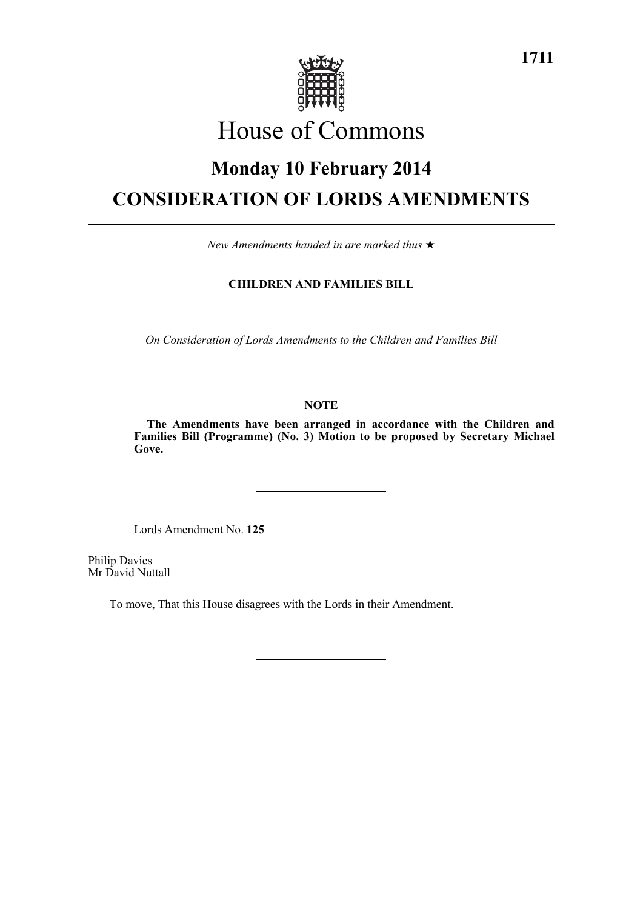

# House of Commons

# **Monday 10 February 2014 CONSIDERATION OF LORDS AMENDMENTS**

*New Amendments handed in are marked thus* 

# **CHILDREN AND FAMILIES BILL**

*On Consideration of Lords Amendments to the Children and Families Bill*

## **NOTE**

**The Amendments have been arranged in accordance with the Children and Families Bill (Programme) (No. 3) Motion to be proposed by Secretary Michael Gove.**

Lords Amendment No. **125**

Philip Davies Mr David Nuttall

To move, That this House disagrees with the Lords in their Amendment.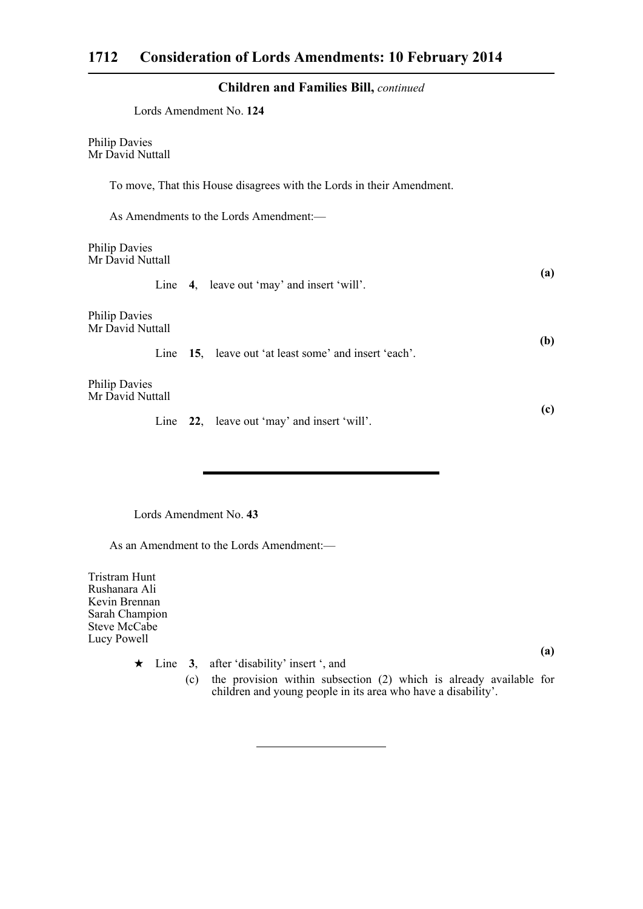## **Children and Families Bill,** *continued*

| Lords Amendment No. 124                                               |            |  |
|-----------------------------------------------------------------------|------------|--|
| <b>Philip Davies</b><br>Mr David Nuttall                              |            |  |
| To move, That this House disagrees with the Lords in their Amendment. |            |  |
| As Amendments to the Lords Amendment:-                                |            |  |
| <b>Philip Davies</b><br>Mr David Nuttall                              | (a)        |  |
| Line 4, leave out 'may' and insert 'will'.                            |            |  |
| <b>Philip Davies</b><br>Mr David Nuttall                              | <b>(b)</b> |  |
| Line 15, leave out 'at least some' and insert 'each'.                 |            |  |
| <b>Philip Davies</b><br>Mr David Nuttall                              |            |  |
| Line 22, leave out 'may' and insert 'will'.                           | (c)        |  |

Lords Amendment No. **43**

As an Amendment to the Lords Amendment:—

Tristram Hunt Rushanara Ali Kevin Brennan Sarah Champion Steve McCabe Lucy Powell

**(a)** ★ Line 3, after 'disability' insert ', and (c) the provision within subsection (2) which is already available for children and young people in its area who have a disability'.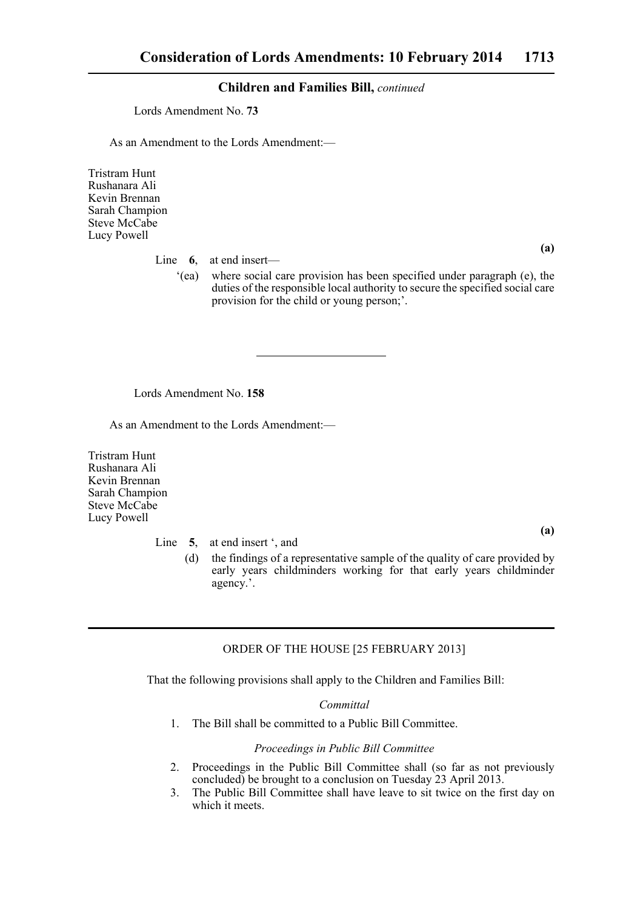### **Children and Families Bill,** *continued*

Lords Amendment No. **73**

As an Amendment to the Lords Amendment:—

Tristram Hunt Rushanara Ali Kevin Brennan Sarah Champion Steve McCabe Lucy Powell

Line **6**, at end insert—

'(ea) where social care provision has been specified under paragraph (e), the duties of the responsible local authority to secure the specified social care provision for the child or young person;'.

Lords Amendment No. **158**

As an Amendment to the Lords Amendment:—

Tristram Hunt Rushanara Ali Kevin Brennan Sarah Champion Steve McCabe Lucy Powell

Line 5, at end insert ', and

**(a)**

**(a)**

(d) the findings of a representative sample of the quality of care provided by early years childminders working for that early years childminder agency.'.

## ORDER OF THE HOUSE [25 FEBRUARY 2013]

That the following provisions shall apply to the Children and Families Bill:

#### *Committal*

1. The Bill shall be committed to a Public Bill Committee.

#### *Proceedings in Public Bill Committee*

- 2. Proceedings in the Public Bill Committee shall (so far as not previously concluded) be brought to a conclusion on Tuesday 23 April 2013.
- 3. The Public Bill Committee shall have leave to sit twice on the first day on which it meets.